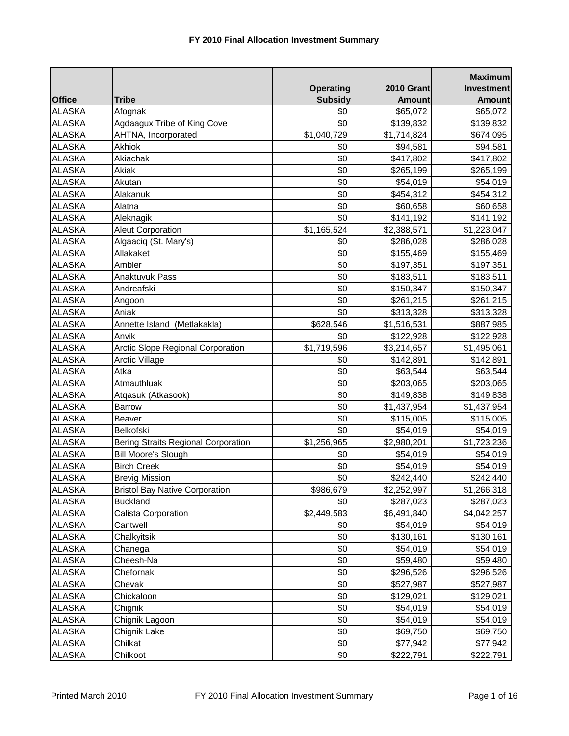|               |                                            |                  |                   | <b>Maximum</b>    |
|---------------|--------------------------------------------|------------------|-------------------|-------------------|
|               |                                            | <b>Operating</b> | <b>2010 Grant</b> | <b>Investment</b> |
| <b>Office</b> | <b>Tribe</b>                               | <b>Subsidy</b>   | <b>Amount</b>     | <b>Amount</b>     |
| <b>ALASKA</b> | Afognak                                    | \$0              | \$65,072          | \$65,072          |
| <b>ALASKA</b> | Agdaagux Tribe of King Cove                | \$0              | \$139,832         | \$139,832         |
| <b>ALASKA</b> | AHTNA, Incorporated                        | \$1,040,729      | \$1,714,824       | \$674,095         |
| <b>ALASKA</b> | <b>Akhiok</b>                              | \$0              | \$94,581          | \$94,581          |
| <b>ALASKA</b> | Akiachak                                   | \$0              | \$417,802         | \$417,802         |
| <b>ALASKA</b> | Akiak                                      | \$0              | \$265,199         | \$265,199         |
| <b>ALASKA</b> | Akutan                                     | \$0              | \$54,019          | \$54,019          |
| <b>ALASKA</b> | Alakanuk                                   | \$0              | \$454,312         | \$454,312         |
| <b>ALASKA</b> | Alatna                                     | \$0              | \$60,658          | \$60,658          |
| <b>ALASKA</b> | Aleknagik                                  | \$0              | \$141,192         | \$141,192         |
| <b>ALASKA</b> | <b>Aleut Corporation</b>                   | \$1,165,524      | \$2,388,571       | \$1,223,047       |
| <b>ALASKA</b> | Algaaciq (St. Mary's)                      | \$0              | \$286,028         | \$286,028         |
| <b>ALASKA</b> | Allakaket                                  | \$0              | \$155,469         | \$155,469         |
| <b>ALASKA</b> | Ambler                                     | \$0              | \$197,351         | \$197,351         |
| <b>ALASKA</b> | Anaktuvuk Pass                             | \$0              | \$183,511         | \$183,511         |
| <b>ALASKA</b> | Andreafski                                 | \$0              | \$150,347         | \$150,347         |
| <b>ALASKA</b> | Angoon                                     | \$0              | \$261,215         | \$261,215         |
| <b>ALASKA</b> | Aniak                                      | \$0              | \$313,328         | \$313,328         |
| <b>ALASKA</b> | Annette Island (Metlakakla)                | \$628,546        | \$1,516,531       | \$887,985         |
| <b>ALASKA</b> | Anvik                                      | \$0              | \$122,928         | \$122,928         |
| <b>ALASKA</b> | <b>Arctic Slope Regional Corporation</b>   | \$1,719,596      | \$3,214,657       | \$1,495,061       |
| <b>ALASKA</b> | <b>Arctic Village</b>                      | \$0              | \$142,891         | \$142,891         |
| <b>ALASKA</b> | Atka                                       | \$0              | \$63,544          | \$63,544          |
| <b>ALASKA</b> | Atmauthluak                                | \$0              | \$203,065         | \$203,065         |
| <b>ALASKA</b> | Atqasuk (Atkasook)                         | \$0              | \$149,838         | \$149,838         |
| <b>ALASKA</b> | <b>Barrow</b>                              | \$0              | \$1,437,954       | \$1,437,954       |
| <b>ALASKA</b> | Beaver                                     | \$0              | \$115,005         | \$115,005         |
| <b>ALASKA</b> | Belkofski                                  | \$0              | \$54,019          | \$54,019          |
| <b>ALASKA</b> | <b>Bering Straits Regional Corporation</b> | \$1,256,965      | \$2,980,201       | \$1,723,236       |
| <b>ALASKA</b> | <b>Bill Moore's Slough</b>                 | \$0              | \$54,019          | \$54,019          |
| <b>ALASKA</b> | <b>Birch Creek</b>                         | \$0              | \$54,019          | \$54,019          |
| <b>ALASKA</b> | <b>Brevig Mission</b>                      | \$0              | \$242,440         | \$242,440         |
| <b>ALASKA</b> | <b>Bristol Bay Native Corporation</b>      | \$986,679        | \$2,252,997       | \$1,266,318       |
| <b>ALASKA</b> | <b>Buckland</b>                            | \$0              | \$287,023         | \$287,023         |
| <b>ALASKA</b> | Calista Corporation                        | \$2,449,583      | \$6,491,840       | \$4,042,257       |
| <b>ALASKA</b> | Cantwell                                   | \$0              | \$54,019          | \$54,019          |
| <b>ALASKA</b> | Chalkyitsik                                | \$0              | \$130,161         | \$130,161         |
| <b>ALASKA</b> | Chanega                                    | \$0              | \$54,019          | \$54,019          |
| <b>ALASKA</b> | Cheesh-Na                                  | \$0              | \$59,480          | \$59,480          |
| <b>ALASKA</b> | Chefornak                                  | \$0              | \$296,526         | \$296,526         |
| <b>ALASKA</b> | Chevak                                     | \$0              | \$527,987         | \$527,987         |
| <b>ALASKA</b> | Chickaloon                                 | \$0              | \$129,021         | \$129,021         |
| <b>ALASKA</b> | Chignik                                    | \$0              | \$54,019          | \$54,019          |
| <b>ALASKA</b> | Chignik Lagoon                             | \$0              | \$54,019          | \$54,019          |
| <b>ALASKA</b> | Chignik Lake                               | \$0              | \$69,750          | \$69,750          |
| <b>ALASKA</b> | Chilkat                                    | \$0              | \$77,942          | \$77,942          |
| <b>ALASKA</b> | Chilkoot                                   | \$0              | \$222,791         | \$222,791         |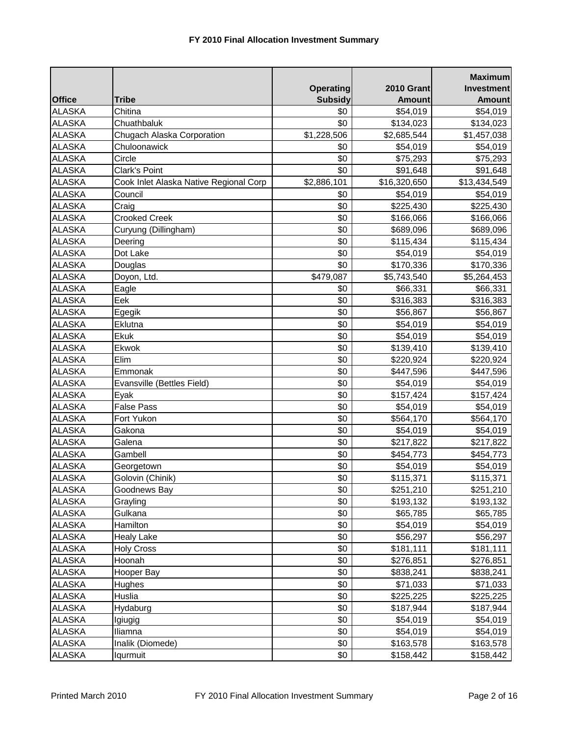|               |                                        |                  |                   | <b>Maximum</b>    |
|---------------|----------------------------------------|------------------|-------------------|-------------------|
|               |                                        | <b>Operating</b> | <b>2010 Grant</b> | <b>Investment</b> |
| <b>Office</b> | <b>Tribe</b>                           | <b>Subsidy</b>   | <b>Amount</b>     | <b>Amount</b>     |
| <b>ALASKA</b> | Chitina                                | \$0              | \$54,019          | \$54,019          |
| <b>ALASKA</b> | Chuathbaluk                            | \$0              | \$134,023         | \$134,023         |
| <b>ALASKA</b> | Chugach Alaska Corporation             | \$1,228,506      | \$2,685,544       | \$1,457,038       |
| <b>ALASKA</b> | Chuloonawick                           | \$0              | \$54,019          | \$54,019          |
| <b>ALASKA</b> | Circle                                 | \$0              | \$75,293          | \$75,293          |
| <b>ALASKA</b> | <b>Clark's Point</b>                   | \$0              | \$91,648          | \$91,648          |
| <b>ALASKA</b> | Cook Inlet Alaska Native Regional Corp | \$2,886,101      | \$16,320,650      | \$13,434,549      |
| <b>ALASKA</b> | Council                                | \$0              | \$54,019          | \$54,019          |
| <b>ALASKA</b> | Craig                                  | \$0              | \$225,430         | \$225,430         |
| <b>ALASKA</b> | <b>Crooked Creek</b>                   | \$0              | \$166,066         | \$166,066         |
| <b>ALASKA</b> | Curyung (Dillingham)                   | \$0              | \$689,096         | \$689,096         |
| <b>ALASKA</b> | Deering                                | \$0              | \$115,434         | \$115,434         |
| <b>ALASKA</b> | Dot Lake                               | \$0              | \$54,019          | \$54,019          |
| <b>ALASKA</b> | Douglas                                | \$0              | \$170,336         | \$170,336         |
| <b>ALASKA</b> | Doyon, Ltd.                            | \$479,087        | \$5,743,540       | \$5,264,453       |
| <b>ALASKA</b> | Eagle                                  | \$0              | \$66,331          | \$66,331          |
| <b>ALASKA</b> | Eek                                    | \$0              | \$316,383         | \$316,383         |
| <b>ALASKA</b> | Egegik                                 | \$0              | \$56,867          | \$56,867          |
| <b>ALASKA</b> | Eklutna                                | \$0              | \$54,019          | \$54,019          |
| <b>ALASKA</b> | Ekuk                                   | \$0              | \$54,019          | \$54,019          |
| <b>ALASKA</b> | Ekwok                                  | \$0              | \$139,410         | \$139,410         |
| <b>ALASKA</b> | Elim                                   | \$0              | \$220,924         | \$220,924         |
| <b>ALASKA</b> | Emmonak                                | \$0              | \$447,596         | \$447,596         |
| <b>ALASKA</b> | Evansville (Bettles Field)             | \$0              | \$54,019          | \$54,019          |
| <b>ALASKA</b> | Eyak                                   | \$0              | \$157,424         | \$157,424         |
| <b>ALASKA</b> | <b>False Pass</b>                      | \$0              | \$54,019          | \$54,019          |
| <b>ALASKA</b> | Fort Yukon                             | \$0              | \$564,170         | \$564,170         |
| <b>ALASKA</b> | Gakona                                 | \$0              | \$54,019          | \$54,019          |
| <b>ALASKA</b> | Galena                                 | \$0              | \$217,822         | \$217,822         |
| <b>ALASKA</b> | Gambell                                | \$0              | \$454,773         | \$454,773         |
| <b>ALASKA</b> | Georgetown                             | \$0              | \$54,019          | \$54,019          |
| <b>ALASKA</b> | Golovin (Chinik)                       | \$0              | \$115,371         | \$115,371         |
| <b>ALASKA</b> | Goodnews Bay                           | \$0              | \$251,210         | \$251,210         |
| <b>ALASKA</b> | Grayling                               | \$0              | \$193,132         | \$193,132         |
| <b>ALASKA</b> | Gulkana                                | \$0              | \$65,785          | \$65,785          |
| <b>ALASKA</b> | Hamilton                               | \$0              | \$54,019          | \$54,019          |
| <b>ALASKA</b> | <b>Healy Lake</b>                      | \$0              | \$56,297          | \$56,297          |
| <b>ALASKA</b> | <b>Holy Cross</b>                      | \$0              | \$181,111         | \$181,111         |
| <b>ALASKA</b> | Hoonah                                 | \$0              | \$276,851         | \$276,851         |
| <b>ALASKA</b> | Hooper Bay                             | \$0              | \$838,241         | \$838,241         |
| <b>ALASKA</b> | Hughes                                 | \$0              | \$71,033          | \$71,033          |
| <b>ALASKA</b> | Huslia                                 | \$0              | \$225,225         | \$225,225         |
| <b>ALASKA</b> | Hydaburg                               | \$0              | \$187,944         | \$187,944         |
| <b>ALASKA</b> | Igiugig                                | \$0              | \$54,019          | \$54,019          |
| <b>ALASKA</b> | Iliamna                                | \$0              | \$54,019          | \$54,019          |
| <b>ALASKA</b> | Inalik (Diomede)                       | \$0              | \$163,578         | \$163,578         |
| <b>ALASKA</b> | Iqurmuit                               | \$0              | \$158,442         | \$158,442         |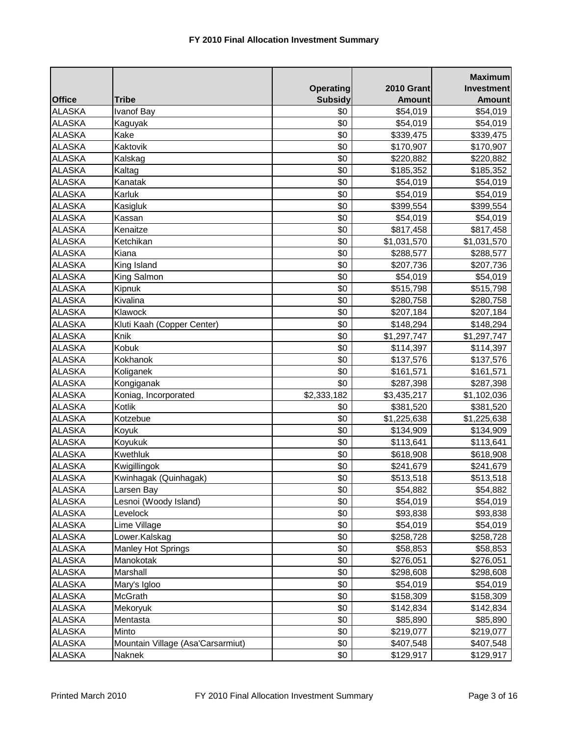|               |                                   |                  |                   | <b>Maximum</b> |
|---------------|-----------------------------------|------------------|-------------------|----------------|
|               |                                   | <b>Operating</b> | <b>2010 Grant</b> | Investment     |
| <b>Office</b> | <b>Tribe</b>                      | <b>Subsidy</b>   | <b>Amount</b>     | <b>Amount</b>  |
| <b>ALASKA</b> | Ivanof Bay                        | \$0              | \$54,019          | \$54,019       |
| <b>ALASKA</b> | Kaguyak                           | \$0              | \$54,019          | \$54,019       |
| <b>ALASKA</b> | Kake                              | \$0              | \$339,475         | \$339,475      |
| <b>ALASKA</b> | Kaktovik                          | \$0              | \$170,907         | \$170,907      |
| <b>ALASKA</b> | Kalskag                           | \$0              | \$220,882         | \$220,882      |
| <b>ALASKA</b> | Kaltag                            | \$0              | \$185,352         | \$185,352      |
| <b>ALASKA</b> | Kanatak                           | \$0              | \$54,019          | \$54,019       |
| <b>ALASKA</b> | Karluk                            | \$0              | \$54,019          | \$54,019       |
| <b>ALASKA</b> | Kasigluk                          | \$0              | \$399,554         | \$399,554      |
| <b>ALASKA</b> | Kassan                            | \$0              | \$54,019          | \$54,019       |
| <b>ALASKA</b> | Kenaitze                          | \$0              | \$817,458         | \$817,458      |
| <b>ALASKA</b> | Ketchikan                         | \$0              | \$1,031,570       | \$1,031,570    |
| <b>ALASKA</b> | Kiana                             | \$0              | \$288,577         | \$288,577      |
| <b>ALASKA</b> | King Island                       | \$0              | \$207,736         | \$207,736      |
| <b>ALASKA</b> | King Salmon                       | \$0              | \$54,019          | \$54,019       |
| <b>ALASKA</b> | Kipnuk                            | \$0              | \$515,798         | \$515,798      |
| <b>ALASKA</b> | Kivalina                          | \$0              | \$280,758         | \$280,758      |
| <b>ALASKA</b> | Klawock                           | \$0              | \$207,184         | \$207,184      |
| <b>ALASKA</b> | Kluti Kaah (Copper Center)        | \$0              | \$148,294         | \$148,294      |
| <b>ALASKA</b> | Knik                              | \$0              | \$1,297,747       | \$1,297,747    |
| <b>ALASKA</b> | Kobuk                             | \$0              | \$114,397         | \$114,397      |
| <b>ALASKA</b> | Kokhanok                          | \$0              | \$137,576         | \$137,576      |
| <b>ALASKA</b> | Koliganek                         | \$0              | \$161,571         | \$161,571      |
| <b>ALASKA</b> | Kongiganak                        | \$0              | \$287,398         | \$287,398      |
| <b>ALASKA</b> | Koniag, Incorporated              | \$2,333,182      | \$3,435,217       | \$1,102,036    |
| <b>ALASKA</b> | Kotlik                            | \$0              | \$381,520         | \$381,520      |
| <b>ALASKA</b> | Kotzebue                          | \$0              | \$1,225,638       | \$1,225,638    |
| <b>ALASKA</b> | Koyuk                             | \$0              | \$134,909         | \$134,909      |
| <b>ALASKA</b> | Koyukuk                           | \$0              | \$113,641         | \$113,641      |
| <b>ALASKA</b> | Kwethluk                          | \$0              | \$618,908         | \$618,908      |
| <b>ALASKA</b> | Kwigillingok                      | \$0              | \$241,679         | \$241,679      |
| <b>ALASKA</b> | Kwinhagak (Quinhagak)             | \$0              | \$513,518         | \$513,518      |
| <b>ALASKA</b> | Larsen Bay                        | \$0              | \$54,882          | \$54,882       |
| <b>ALASKA</b> | _esnoi (Woody Island)             | \$0              | \$54,019          | \$54,019       |
| <b>ALASKA</b> | Levelock                          | \$0              | \$93,838          | \$93,838       |
| <b>ALASKA</b> | Lime Village                      | \$0              | \$54,019          | \$54,019       |
| <b>ALASKA</b> | Lower.Kalskag                     | \$0              | \$258,728         | \$258,728      |
| <b>ALASKA</b> | <b>Manley Hot Springs</b>         | \$0              | \$58,853          | \$58,853       |
| <b>ALASKA</b> | Manokotak                         | \$0              | \$276,051         | \$276,051      |
| <b>ALASKA</b> | Marshall                          | \$0              | \$298,608         | \$298,608      |
| <b>ALASKA</b> | Mary's Igloo                      | \$0              | \$54,019          | \$54,019       |
| <b>ALASKA</b> | McGrath                           | \$0              | \$158,309         | \$158,309      |
| <b>ALASKA</b> | Mekoryuk                          | \$0              | \$142,834         | \$142,834      |
| <b>ALASKA</b> | Mentasta                          | \$0              | \$85,890          | \$85,890       |
| <b>ALASKA</b> | Minto                             | \$0              | \$219,077         | \$219,077      |
| <b>ALASKA</b> | Mountain Village (Asa'Carsarmiut) | \$0              | \$407,548         | \$407,548      |
| <b>ALASKA</b> | Naknek                            | \$0              | \$129,917         | \$129,917      |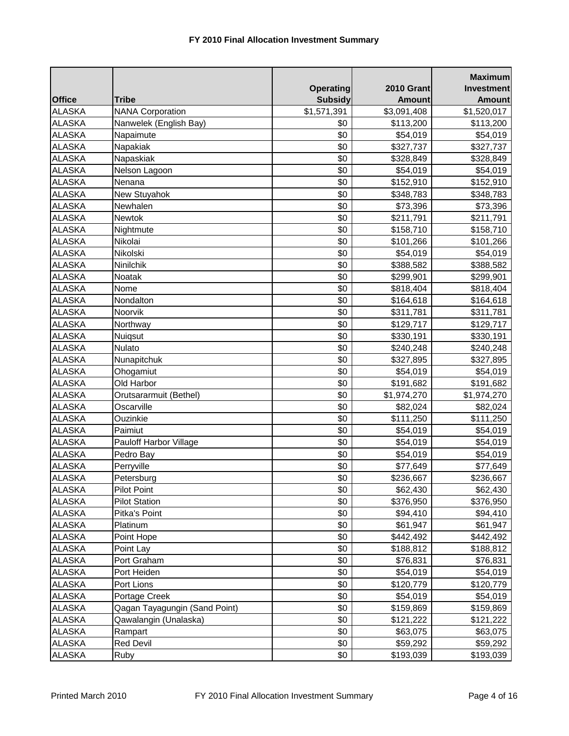|               |                               |                  |                   | <b>Maximum</b>    |
|---------------|-------------------------------|------------------|-------------------|-------------------|
|               |                               | <b>Operating</b> | <b>2010 Grant</b> | <b>Investment</b> |
| <b>Office</b> | <b>Tribe</b>                  | <b>Subsidy</b>   | <b>Amount</b>     | <b>Amount</b>     |
| <b>ALASKA</b> | <b>NANA Corporation</b>       | \$1,571,391      | \$3,091,408       | \$1,520,017       |
| <b>ALASKA</b> | Nanwelek (English Bay)        | \$0              | \$113,200         | \$113,200         |
| <b>ALASKA</b> | Napaimute                     | \$0              | \$54,019          | \$54,019          |
| <b>ALASKA</b> | Napakiak                      | \$0              | \$327,737         | \$327,737         |
| <b>ALASKA</b> | Napaskiak                     | \$0              | \$328,849         | \$328,849         |
| <b>ALASKA</b> | Nelson Lagoon                 | \$0              | \$54,019          | \$54,019          |
| <b>ALASKA</b> | Nenana                        | \$0              | \$152,910         | \$152,910         |
| <b>ALASKA</b> | New Stuyahok                  | \$0              | \$348,783         | \$348,783         |
| <b>ALASKA</b> | Newhalen                      | \$0              | \$73,396          | \$73,396          |
| <b>ALASKA</b> | <b>Newtok</b>                 | \$0              | \$211,791         | \$211,791         |
| <b>ALASKA</b> | Nightmute                     | \$0              | \$158,710         | \$158,710         |
| <b>ALASKA</b> | Nikolai                       | \$0              | \$101,266         | \$101,266         |
| <b>ALASKA</b> | Nikolski                      | \$0              | \$54,019          | \$54,019          |
| <b>ALASKA</b> | Ninilchik                     | \$0              | \$388,582         | \$388,582         |
| <b>ALASKA</b> | Noatak                        | \$0              | \$299,901         | \$299,901         |
| <b>ALASKA</b> | Nome                          | \$0              | \$818,404         | \$818,404         |
| <b>ALASKA</b> | Nondalton                     | \$0              | \$164,618         | \$164,618         |
| <b>ALASKA</b> | Noorvik                       | \$0              | \$311,781         | \$311,781         |
| <b>ALASKA</b> | Northway                      | \$0              | \$129,717         | \$129,717         |
| <b>ALASKA</b> | Nuiqsut                       | \$0              | \$330,191         | \$330,191         |
| <b>ALASKA</b> | <b>Nulato</b>                 | \$0              | \$240,248         | \$240,248         |
| <b>ALASKA</b> | Nunapitchuk                   | \$0              | \$327,895         | \$327,895         |
| <b>ALASKA</b> | Ohogamiut                     | \$0              | \$54,019          | \$54,019          |
| <b>ALASKA</b> | Old Harbor                    | \$0              | \$191,682         | \$191,682         |
| <b>ALASKA</b> | Orutsararmuit (Bethel)        | \$0              | \$1,974,270       | \$1,974,270       |
| <b>ALASKA</b> | Oscarville                    | \$0              | \$82,024          | \$82,024          |
| <b>ALASKA</b> | Ouzinkie                      | \$0              | \$111,250         | \$111,250         |
| <b>ALASKA</b> | Paimiut                       | \$0              | \$54,019          | \$54,019          |
| <b>ALASKA</b> | Pauloff Harbor Village        | \$0              | \$54,019          | \$54,019          |
| <b>ALASKA</b> | Pedro Bay                     | \$0              | \$54,019          | \$54,019          |
| <b>ALASKA</b> | Perryville                    | \$0              | \$77,649          | \$77,649          |
| <b>ALASKA</b> | Petersburg                    | \$0              | \$236,667         | \$236,667         |
| <b>ALASKA</b> | <b>Pilot Point</b>            | \$0              | \$62,430          | \$62,430          |
| <b>ALASKA</b> | <b>Pilot Station</b>          | \$0              | \$376,950         | \$376,950         |
| <b>ALASKA</b> | Pitka's Point                 | \$0              | \$94,410          | \$94,410          |
| <b>ALASKA</b> | Platinum                      | \$0              | \$61,947          | \$61,947          |
| <b>ALASKA</b> | Point Hope                    | \$0              | \$442,492         | \$442,492         |
| <b>ALASKA</b> | Point Lay                     | \$0              | \$188,812         | \$188,812         |
| <b>ALASKA</b> | Port Graham                   | \$0              | \$76,831          | \$76,831          |
| <b>ALASKA</b> | Port Heiden                   | \$0              | \$54,019          | \$54,019          |
| <b>ALASKA</b> | Port Lions                    | \$0              | \$120,779         | \$120,779         |
| <b>ALASKA</b> | Portage Creek                 | \$0              | \$54,019          | \$54,019          |
| <b>ALASKA</b> | Qagan Tayagungin (Sand Point) | \$0              | \$159,869         | \$159,869         |
| <b>ALASKA</b> | Qawalangin (Unalaska)         | \$0              | \$121,222         | \$121,222         |
| <b>ALASKA</b> | Rampart                       | \$0              | \$63,075          | \$63,075          |
| <b>ALASKA</b> | <b>Red Devil</b>              | \$0              | \$59,292          | \$59,292          |
| <b>ALASKA</b> | Ruby                          | \$0              | \$193,039         | \$193,039         |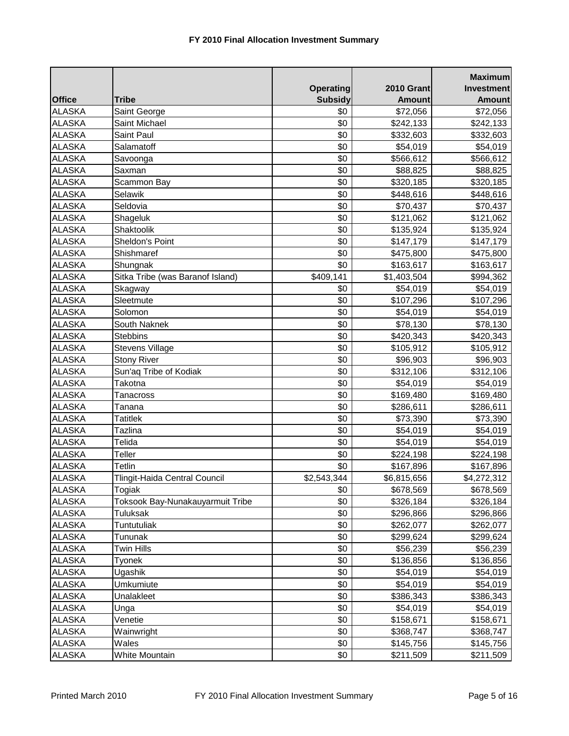|               |                                  |                  |                   | <b>Maximum</b>    |
|---------------|----------------------------------|------------------|-------------------|-------------------|
|               |                                  | <b>Operating</b> | <b>2010 Grant</b> | <b>Investment</b> |
| <b>Office</b> | <b>Tribe</b>                     | <b>Subsidy</b>   | <b>Amount</b>     | <b>Amount</b>     |
| <b>ALASKA</b> | Saint George                     | \$0              | \$72,056          | \$72,056          |
| <b>ALASKA</b> | Saint Michael                    | \$0              | \$242,133         | \$242,133         |
| <b>ALASKA</b> | Saint Paul                       | \$0              | \$332,603         | \$332,603         |
| <b>ALASKA</b> | Salamatoff                       | \$0              | \$54,019          | \$54,019          |
| <b>ALASKA</b> | Savoonga                         | \$0              | \$566,612         | \$566,612         |
| <b>ALASKA</b> | Saxman                           | \$0              | \$88,825          | \$88,825          |
| <b>ALASKA</b> | Scammon Bay                      | \$0              | \$320,185         | \$320,185         |
| <b>ALASKA</b> | Selawik                          | \$0              | \$448,616         | \$448,616         |
| <b>ALASKA</b> | Seldovia                         | \$0              | \$70,437          | \$70,437          |
| <b>ALASKA</b> | Shageluk                         | \$0              | \$121,062         | \$121,062         |
| <b>ALASKA</b> | <b>Shaktoolik</b>                | \$0              | \$135,924         | \$135,924         |
| <b>ALASKA</b> | Sheldon's Point                  | \$0              | \$147,179         | \$147,179         |
| <b>ALASKA</b> | Shishmaref                       | \$0              | \$475,800         | \$475,800         |
| <b>ALASKA</b> | Shungnak                         | \$0              | \$163,617         | \$163,617         |
| <b>ALASKA</b> | Sitka Tribe (was Baranof Island) | \$409,141        | \$1,403,504       | \$994,362         |
| <b>ALASKA</b> | Skagway                          | \$0              | \$54,019          | \$54,019          |
| <b>ALASKA</b> | Sleetmute                        | \$0              | \$107,296         | \$107,296         |
| <b>ALASKA</b> | Solomon                          | \$0              | \$54,019          | \$54,019          |
| <b>ALASKA</b> | South Naknek                     | \$0              | \$78,130          | \$78,130          |
| <b>ALASKA</b> | <b>Stebbins</b>                  | \$0              | \$420,343         | \$420,343         |
| <b>ALASKA</b> | <b>Stevens Village</b>           | \$0              | \$105,912         | \$105,912         |
| <b>ALASKA</b> | <b>Stony River</b>               | \$0              | \$96,903          | \$96,903          |
| <b>ALASKA</b> | Sun'aq Tribe of Kodiak           | \$0              | \$312,106         | \$312,106         |
| <b>ALASKA</b> | Takotna                          | \$0              | \$54,019          | \$54,019          |
| <b>ALASKA</b> | <b>Tanacross</b>                 | \$0              | \$169,480         | \$169,480         |
| <b>ALASKA</b> | Tanana                           | \$0              | \$286,611         | \$286,611         |
| <b>ALASKA</b> | <b>Tatitlek</b>                  | \$0              | \$73,390          | \$73,390          |
| <b>ALASKA</b> | Tazlina                          | \$0              | \$54,019          | \$54,019          |
| <b>ALASKA</b> | Telida                           | \$0              | \$54,019          | \$54,019          |
| <b>ALASKA</b> | Teller                           | \$0              | \$224,198         | \$224,198         |
| <b>ALASKA</b> | Tetlin                           | \$0              | \$167,896         | \$167,896         |
| <b>ALASKA</b> | Tlingit-Haida Central Council    | \$2,543,344      | \$6,815,656       | \$4,272,312       |
| <b>ALASKA</b> | Togiak                           | \$0              | \$678,569         | \$678,569         |
| <b>ALASKA</b> | Toksook Bay-Nunakauyarmuit Tribe | \$0              | \$326,184         | \$326,184         |
| <b>ALASKA</b> | Tuluksak                         | \$0              | \$296,866         | \$296,866         |
| <b>ALASKA</b> | Tuntutuliak                      | \$0              | \$262,077         | \$262,077         |
| <b>ALASKA</b> | Tununak                          | \$0              | \$299,624         | \$299,624         |
| <b>ALASKA</b> | <b>Twin Hills</b>                | \$0              | \$56,239          | \$56,239          |
| <b>ALASKA</b> | Tyonek                           | \$0              | \$136,856         | \$136,856         |
| <b>ALASKA</b> | Ugashik                          | \$0              | \$54,019          | \$54,019          |
| <b>ALASKA</b> | Umkumiute                        | \$0              | \$54,019          | \$54,019          |
| <b>ALASKA</b> | Unalakleet                       | \$0              | \$386,343         | \$386,343         |
| <b>ALASKA</b> | Unga                             | \$0              | \$54,019          | \$54,019          |
| <b>ALASKA</b> | Venetie                          | \$0              | \$158,671         | \$158,671         |
| <b>ALASKA</b> | Wainwright                       | \$0              | \$368,747         | \$368,747         |
| <b>ALASKA</b> | Wales                            | \$0              | \$145,756         | \$145,756         |
| <b>ALASKA</b> | White Mountain                   | \$0              | \$211,509         | \$211,509         |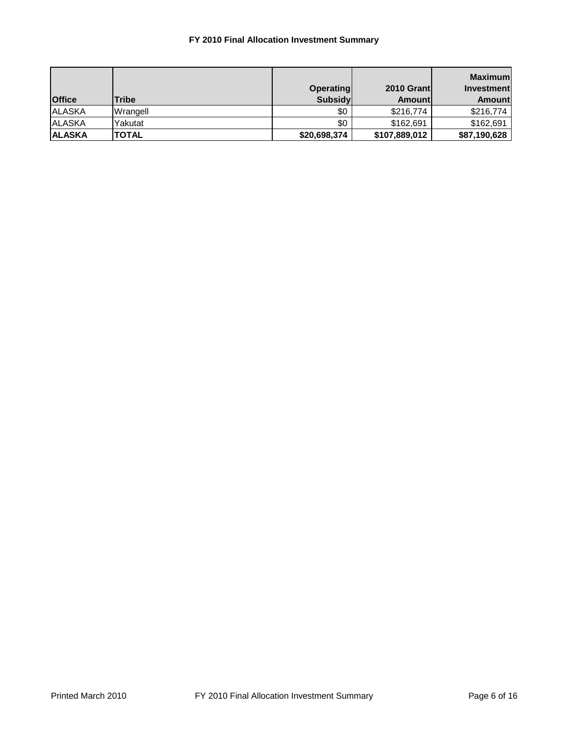## **FY 2010 Final Allocation Investment Summary**

| <b>Office</b>  | <b>Tribe</b> | <b>Operating</b><br><b>Subsidy</b> | 2010 Grantl<br>Amountl | Maximuml<br><b>Investment</b><br>Amountl |
|----------------|--------------|------------------------------------|------------------------|------------------------------------------|
| <b>ALASKA</b>  | Wrangell     | \$0                                | \$216,774              | \$216,774                                |
| <b>ALASKA</b>  | Yakutat      | \$0                                | \$162.691              | \$162,691                                |
| <b>IALASKA</b> | <b>TOTAL</b> | \$20,698,374                       | \$107,889,012          | \$87,190,628                             |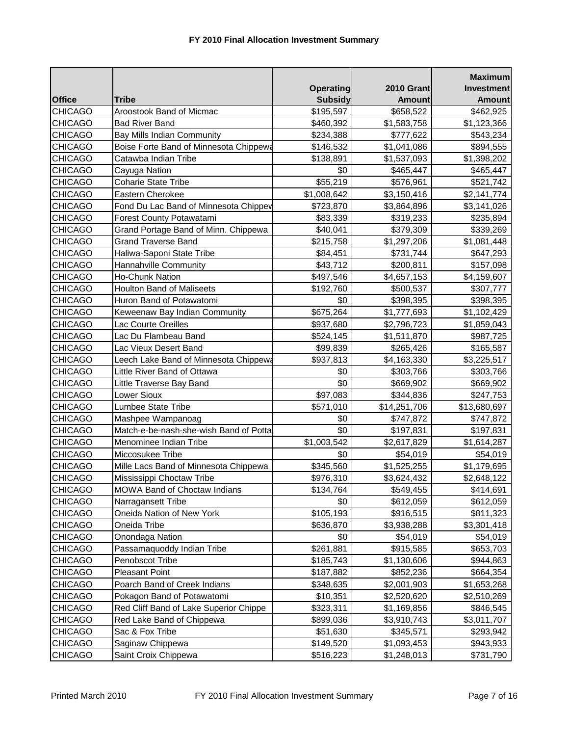|                |                                        |                  |                   | <b>Maximum</b>    |
|----------------|----------------------------------------|------------------|-------------------|-------------------|
|                |                                        | <b>Operating</b> | <b>2010 Grant</b> | <b>Investment</b> |
| <b>Office</b>  | <b>Tribe</b>                           | <b>Subsidy</b>   | <b>Amount</b>     | <b>Amount</b>     |
| <b>CHICAGO</b> | Aroostook Band of Micmac               | \$195,597        | \$658,522         | \$462,925         |
| <b>CHICAGO</b> | <b>Bad River Band</b>                  | \$460,392        | \$1,583,758       | \$1,123,366       |
| <b>CHICAGO</b> | Bay Mills Indian Community             | \$234,388        | \$777,622         | \$543,234         |
| <b>CHICAGO</b> | Boise Forte Band of Minnesota Chippewa | \$146,532        | \$1,041,086       | \$894,555         |
| <b>CHICAGO</b> | Catawba Indian Tribe                   | \$138,891        | \$1,537,093       | \$1,398,202       |
| <b>CHICAGO</b> | Cayuga Nation                          | \$0              | \$465,447         | \$465,447         |
| <b>CHICAGO</b> | <b>Coharie State Tribe</b>             | \$55,219         | \$576,961         | \$521,742         |
| <b>CHICAGO</b> | Eastern Cherokee                       | \$1,008,642      | \$3,150,416       | \$2,141,774       |
| <b>CHICAGO</b> | Fond Du Lac Band of Minnesota Chippev  | \$723,870        | \$3,864,896       | \$3,141,026       |
| <b>CHICAGO</b> | Forest County Potawatami               | \$83,339         | \$319,233         | \$235,894         |
| <b>CHICAGO</b> | Grand Portage Band of Minn. Chippewa   | \$40,041         | \$379,309         | \$339,269         |
| <b>CHICAGO</b> | <b>Grand Traverse Band</b>             | \$215,758        | \$1,297,206       | \$1,081,448       |
| <b>CHICAGO</b> | Haliwa-Saponi State Tribe              | \$84,451         | \$731,744         | \$647,293         |
| <b>CHICAGO</b> | Hannahville Community                  | \$43,712         | \$200,811         | \$157,098         |
| <b>CHICAGO</b> | <b>Ho-Chunk Nation</b>                 | \$497,546        | \$4,657,153       | \$4,159,607       |
| <b>CHICAGO</b> | <b>Houlton Band of Maliseets</b>       | \$192,760        | \$500,537         | \$307,777         |
| <b>CHICAGO</b> | Huron Band of Potawatomi               | \$0              | \$398,395         | \$398,395         |
| <b>CHICAGO</b> | Keweenaw Bay Indian Community          | \$675,264        | \$1,777,693       | \$1,102,429       |
| <b>CHICAGO</b> | Lac Courte Oreilles                    | \$937,680        | \$2,796,723       | \$1,859,043       |
| <b>CHICAGO</b> | Lac Du Flambeau Band                   | \$524,145        | \$1,511,870       | \$987,725         |
| <b>CHICAGO</b> | Lac Vieux Desert Band                  | \$99,839         | \$265,426         | \$165,587         |
| <b>CHICAGO</b> | Leech Lake Band of Minnesota Chippewa  | \$937,813        | \$4,163,330       | \$3,225,517       |
| <b>CHICAGO</b> | Little River Band of Ottawa            | \$0              | \$303,766         | \$303,766         |
| <b>CHICAGO</b> | Little Traverse Bay Band               | \$0              | \$669,902         | \$669,902         |
| <b>CHICAGO</b> | Lower Sioux                            | \$97,083         | \$344,836         | \$247,753         |
| <b>CHICAGO</b> | Lumbee State Tribe                     | \$571,010        | \$14,251,706      | \$13,680,697      |
| <b>CHICAGO</b> | Mashpee Wampanoag                      | \$0              | \$747,872         | \$747,872         |
| <b>CHICAGO</b> | Match-e-be-nash-she-wish Band of Potta | \$0              | \$197,831         | \$197,831         |
| <b>CHICAGO</b> | Menominee Indian Tribe                 | \$1,003,542      | \$2,617,829       | \$1,614,287       |
| <b>CHICAGO</b> | Miccosukee Tribe                       | \$0              | \$54,019          | \$54,019          |
| <b>CHICAGO</b> | Mille Lacs Band of Minnesota Chippewa  | \$345,560        | \$1,525,255       | \$1,179,695       |
| <b>CHICAGO</b> | Mississippi Choctaw Tribe              | \$976,310        | \$3,624,432       | \$2,648,122       |
| <b>CHICAGO</b> | MOWA Band of Choctaw Indians           | \$134,764        | \$549,455         | \$414,691         |
| <b>CHICAGO</b> | Narragansett Tribe                     | \$0              | \$612,059         | \$612,059         |
| <b>CHICAGO</b> | Oneida Nation of New York              | \$105,193        | \$916,515         | \$811,323         |
| <b>CHICAGO</b> | Oneida Tribe                           | \$636,870        | \$3,938,288       | \$3,301,418       |
| CHICAGO        | Onondaga Nation                        | \$0              | \$54,019          | \$54,019          |
| <b>CHICAGO</b> | Passamaquoddy Indian Tribe             | \$261,881        | \$915,585         | \$653,703         |
| <b>CHICAGO</b> | Penobscot Tribe                        | \$185,743        | \$1,130,606       | \$944,863         |
| <b>CHICAGO</b> | <b>Pleasant Point</b>                  | \$187,882        | \$852,236         | \$664,354         |
| <b>CHICAGO</b> | Poarch Band of Creek Indians           | \$348,635        | \$2,001,903       | \$1,653,268       |
| <b>CHICAGO</b> | Pokagon Band of Potawatomi             | \$10,351         | \$2,520,620       | \$2,510,269       |
| <b>CHICAGO</b> | Red Cliff Band of Lake Superior Chippe | \$323,311        | \$1,169,856       | \$846,545         |
| <b>CHICAGO</b> | Red Lake Band of Chippewa              | \$899,036        | \$3,910,743       | \$3,011,707       |
| <b>CHICAGO</b> | Sac & Fox Tribe                        | \$51,630         | \$345,571         | \$293,942         |
| <b>CHICAGO</b> | Saginaw Chippewa                       | \$149,520        | \$1,093,453       | \$943,933         |
| <b>CHICAGO</b> | Saint Croix Chippewa                   | \$516,223        | \$1,248,013       | \$731,790         |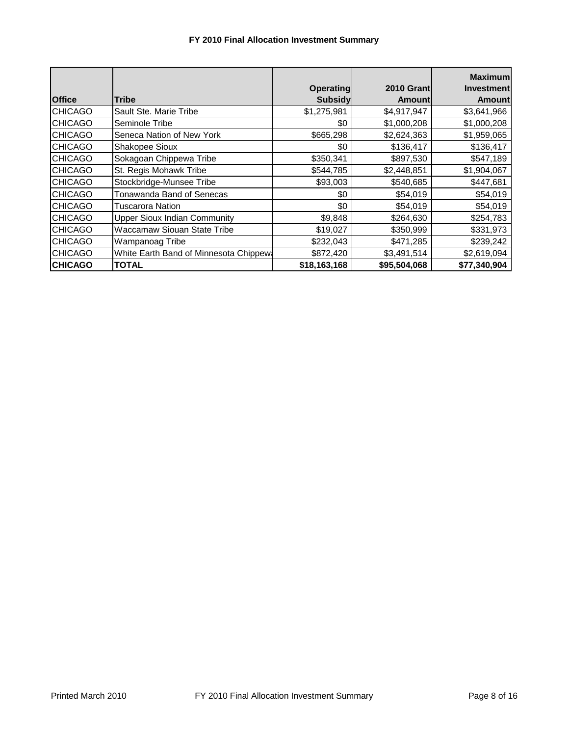## **FY 2010 Final Allocation Investment Summary**

| <b>Office</b>  | Tribe                                  | <b>Operating</b><br><b>Subsidy</b> | 2010 Grant<br><b>Amount</b> | <b>Maximum</b><br><b>Investment</b><br><b>Amount</b> |
|----------------|----------------------------------------|------------------------------------|-----------------------------|------------------------------------------------------|
| <b>CHICAGO</b> | Sault Ste. Marie Tribe                 | \$1,275,981                        | \$4,917,947                 | \$3,641,966                                          |
| <b>CHICAGO</b> | Seminole Tribe                         | \$0                                | \$1,000,208                 | \$1,000,208                                          |
| <b>CHICAGO</b> | Seneca Nation of New York              | \$665,298                          | \$2,624,363                 | \$1,959,065                                          |
| <b>CHICAGO</b> | Shakopee Sioux                         | \$0                                | \$136,417                   | \$136,417                                            |
| <b>CHICAGO</b> | Sokagoan Chippewa Tribe                | \$350,341                          | \$897,530                   | \$547,189                                            |
| <b>CHICAGO</b> | St. Regis Mohawk Tribe                 | \$544,785                          | \$2,448,851                 | \$1,904,067                                          |
| <b>CHICAGO</b> | Stockbridge-Munsee Tribe               | \$93,003                           | \$540,685                   | \$447,681                                            |
| <b>CHICAGO</b> | Tonawanda Band of Senecas              | \$0                                | \$54,019                    | \$54,019                                             |
| <b>CHICAGO</b> | Tuscarora Nation                       | \$0                                | \$54,019                    | \$54,019                                             |
| <b>CHICAGO</b> | <b>Upper Sioux Indian Community</b>    | \$9,848                            | \$264,630                   | \$254,783                                            |
| <b>CHICAGO</b> | <b>Waccamaw Siouan State Tribe</b>     | \$19,027                           | \$350,999                   | \$331,973                                            |
| <b>CHICAGO</b> | Wampanoag Tribe                        | \$232,043                          | \$471,285                   | \$239,242                                            |
| <b>CHICAGO</b> | White Earth Band of Minnesota Chippew: | \$872,420                          | \$3,491,514                 | \$2,619,094                                          |
| <b>CHICAGO</b> | TOTAL                                  | \$18,163,168                       | \$95,504,068                | \$77,340,904                                         |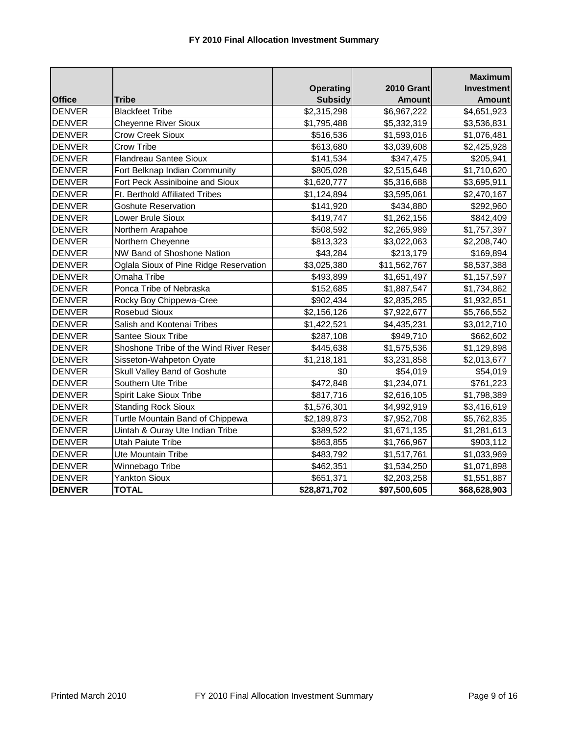| <b>Office</b> | <b>Tribe</b>                           | <b>Operating</b><br><b>Subsidy</b> | <b>2010 Grant</b><br><b>Amount</b> | <b>Maximum</b><br><b>Investment</b><br><b>Amount</b> |
|---------------|----------------------------------------|------------------------------------|------------------------------------|------------------------------------------------------|
| <b>DENVER</b> | <b>Blackfeet Tribe</b>                 | \$2,315,298                        | \$6,967,222                        | \$4,651,923                                          |
| <b>DENVER</b> | <b>Cheyenne River Sioux</b>            | \$1,795,488                        | \$5,332,319                        | \$3,536,831                                          |
| <b>DENVER</b> | <b>Crow Creek Sioux</b>                | \$516,536                          | \$1,593,016                        | \$1,076,481                                          |
| <b>DENVER</b> | Crow Tribe                             | \$613,680                          | \$3,039,608                        | \$2,425,928                                          |
| <b>DENVER</b> | <b>Flandreau Santee Sioux</b>          | \$141,534                          | \$347,475                          | \$205,941                                            |
| <b>DENVER</b> | Fort Belknap Indian Community          | \$805,028                          | \$2,515,648                        | \$1,710,620                                          |
| <b>DENVER</b> | Fort Peck Assiniboine and Sioux        | \$1,620,777                        | \$5,316,688                        | \$3,695,911                                          |
| <b>DENVER</b> | Ft. Berthold Affiliated Tribes         | \$1,124,894                        | \$3,595,061                        | \$2,470,167                                          |
| <b>DENVER</b> | <b>Goshute Reservation</b>             | \$141,920                          | \$434,880                          | \$292,960                                            |
| <b>DENVER</b> | Lower Brule Sioux                      | \$419,747                          | \$1,262,156                        | \$842,409                                            |
| <b>DENVER</b> | Northern Arapahoe                      | \$508,592                          | \$2,265,989                        | \$1,757,397                                          |
| <b>DENVER</b> | Northern Cheyenne                      | \$813,323                          | \$3,022,063                        | \$2,208,740                                          |
| <b>DENVER</b> | NW Band of Shoshone Nation             | \$43,284                           | \$213,179                          | \$169,894                                            |
| <b>DENVER</b> | Oglala Sioux of Pine Ridge Reservation | \$3,025,380                        | \$11,562,767                       | \$8,537,388                                          |
| <b>DENVER</b> | Omaha Tribe                            | \$493,899                          | \$1,651,497                        | \$1,157,597                                          |
| <b>DENVER</b> | Ponca Tribe of Nebraska                | \$152,685                          | \$1,887,547                        | \$1,734,862                                          |
| <b>DENVER</b> | Rocky Boy Chippewa-Cree                | \$902,434                          | \$2,835,285                        | \$1,932,851                                          |
| <b>DENVER</b> | Rosebud Sioux                          | \$2,156,126                        | \$7,922,677                        | \$5,766,552                                          |
| <b>DENVER</b> | Salish and Kootenai Tribes             | \$1,422,521                        | \$4,435,231                        | \$3,012,710                                          |
| <b>DENVER</b> | Santee Sioux Tribe                     | \$287,108                          | \$949,710                          | \$662,602                                            |
| <b>DENVER</b> | Shoshone Tribe of the Wind River Reser | \$445,638                          | \$1,575,536                        | \$1,129,898                                          |
| <b>DENVER</b> | Sisseton-Wahpeton Oyate                | \$1,218,181                        | \$3,231,858                        | \$2,013,677                                          |
| <b>DENVER</b> | <b>Skull Valley Band of Goshute</b>    | \$0                                | \$54,019                           | \$54,019                                             |
| <b>DENVER</b> | Southern Ute Tribe                     | \$472,848                          | \$1,234,071                        | \$761,223                                            |
| <b>DENVER</b> | Spirit Lake Sioux Tribe                | \$817,716                          | \$2,616,105                        | \$1,798,389                                          |
| <b>DENVER</b> | <b>Standing Rock Sioux</b>             | \$1,576,301                        | \$4,992,919                        | \$3,416,619                                          |
| <b>DENVER</b> | Turtle Mountain Band of Chippewa       | \$2,189,873                        | \$7,952,708                        | \$5,762,835                                          |
| <b>DENVER</b> | Uintah & Ouray Ute Indian Tribe        | \$389,522                          | \$1,671,135                        | \$1,281,613                                          |
| <b>DENVER</b> | <b>Utah Paiute Tribe</b>               | \$863,855                          | \$1,766,967                        | \$903,112                                            |
| <b>DENVER</b> | Ute Mountain Tribe                     | \$483,792                          | \$1,517,761                        | \$1,033,969                                          |
| <b>DENVER</b> | Winnebago Tribe                        | \$462,351                          | \$1,534,250                        | \$1,071,898                                          |
| <b>DENVER</b> | <b>Yankton Sioux</b>                   | \$651,371                          | \$2,203,258                        | \$1,551,887                                          |
| <b>DENVER</b> | <b>TOTAL</b>                           | \$28,871,702                       | \$97,500,605                       | \$68,628,903                                         |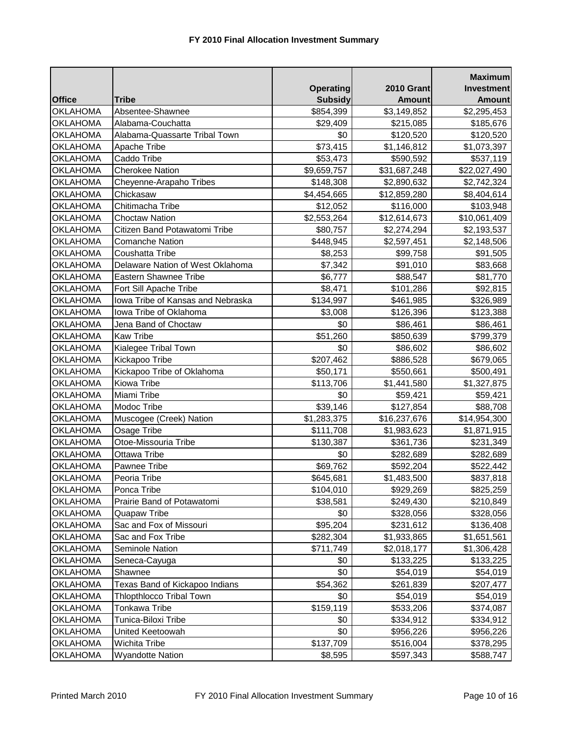|                 |                                   |                  |                   | <b>Maximum</b>    |
|-----------------|-----------------------------------|------------------|-------------------|-------------------|
|                 |                                   | <b>Operating</b> | <b>2010 Grant</b> | <b>Investment</b> |
| <b>Office</b>   | <b>Tribe</b>                      | <b>Subsidy</b>   | <b>Amount</b>     | <b>Amount</b>     |
| <b>OKLAHOMA</b> | Absentee-Shawnee                  | \$854,399        | \$3,149,852       | \$2,295,453       |
| <b>OKLAHOMA</b> | Alabama-Couchatta                 | \$29,409         | \$215,085         | \$185,676         |
| <b>OKLAHOMA</b> | Alabama-Quassarte Tribal Town     | \$0              | \$120,520         | \$120,520         |
| <b>OKLAHOMA</b> | Apache Tribe                      | \$73,415         | \$1,146,812       | \$1,073,397       |
| <b>OKLAHOMA</b> | Caddo Tribe                       | \$53,473         | \$590,592         | \$537,119         |
| <b>OKLAHOMA</b> | <b>Cherokee Nation</b>            | \$9,659,757      | \$31,687,248      | \$22,027,490      |
| <b>OKLAHOMA</b> | Cheyenne-Arapaho Tribes           | \$148,308        | \$2,890,632       | \$2,742,324       |
| <b>OKLAHOMA</b> | Chickasaw                         | \$4,454,665      | \$12,859,280      | \$8,404,614       |
| <b>OKLAHOMA</b> | Chitimacha Tribe                  | \$12,052         | \$116,000         | \$103,948         |
| OKLAHOMA        | <b>Choctaw Nation</b>             | \$2,553,264      | \$12,614,673      | \$10,061,409      |
| <b>OKLAHOMA</b> | Citizen Band Potawatomi Tribe     | \$80,757         | \$2,274,294       | \$2,193,537       |
| <b>OKLAHOMA</b> | <b>Comanche Nation</b>            | \$448,945        | \$2,597,451       | \$2,148,506       |
| <b>OKLAHOMA</b> | Coushatta Tribe                   | \$8,253          | \$99,758          | \$91,505          |
| <b>OKLAHOMA</b> | Delaware Nation of West Oklahoma  | \$7,342          | \$91,010          | \$83,668          |
| <b>OKLAHOMA</b> | Eastern Shawnee Tribe             | \$6,777          | \$88,547          | \$81,770          |
| <b>OKLAHOMA</b> | Fort Sill Apache Tribe            | \$8,471          | \$101,286         | \$92,815          |
| <b>OKLAHOMA</b> | Iowa Tribe of Kansas and Nebraska | \$134,997        | \$461,985         | \$326,989         |
| <b>OKLAHOMA</b> | Iowa Tribe of Oklahoma            | \$3,008          | \$126,396         | \$123,388         |
| OKLAHOMA        | Jena Band of Choctaw              | \$0              | \$86,461          | \$86,461          |
| <b>OKLAHOMA</b> | <b>Kaw Tribe</b>                  | \$51,260         | \$850,639         | \$799,379         |
| <b>OKLAHOMA</b> | Kialegee Tribal Town              | \$0              | \$86,602          | \$86,602          |
| <b>OKLAHOMA</b> | Kickapoo Tribe                    | \$207,462        | \$886,528         | \$679,065         |
| <b>OKLAHOMA</b> | Kickapoo Tribe of Oklahoma        | \$50,171         | \$550,661         | \$500,491         |
| <b>OKLAHOMA</b> | <b>Kiowa Tribe</b>                | \$113,706        | \$1,441,580       | \$1,327,875       |
| <b>OKLAHOMA</b> | Miami Tribe                       | \$0              | \$59,421          | \$59,421          |
| <b>OKLAHOMA</b> | Modoc Tribe                       | \$39,146         | \$127,854         | \$88,708          |
| OKLAHOMA        | Muscogee (Creek) Nation           | \$1,283,375      | \$16,237,676      | \$14,954,300      |
| OKLAHOMA        | Osage Tribe                       | \$111,708        | \$1,983,623       | \$1,871,915       |
| <b>OKLAHOMA</b> | Otoe-Missouria Tribe              | \$130,387        | \$361,736         | \$231,349         |
| <b>OKLAHOMA</b> | <b>Ottawa Tribe</b>               | \$0              | \$282,689         | \$282,689         |
| <b>OKLAHOMA</b> | <b>Pawnee Tribe</b>               | \$69,762         | \$592,204         | \$522,442         |
| <b>OKLAHOMA</b> | Peoria Tribe                      | \$645,681        | \$1,483,500       | \$837,818         |
| <b>OKLAHOMA</b> | Ponca Tribe                       | \$104,010        | \$929,269         | \$825,259         |
| <b>OKLAHOMA</b> | Prairie Band of Potawatomi        | \$38,581         | \$249,430         | \$210,849         |
| OKLAHOMA        | Quapaw Tribe                      | \$0              | \$328,056         | \$328,056         |
| <b>OKLAHOMA</b> | Sac and Fox of Missouri           | \$95,204         | \$231,612         | \$136,408         |
| <b>OKLAHOMA</b> | Sac and Fox Tribe                 | \$282,304        | \$1,933,865       | \$1,651,561       |
| <b>OKLAHOMA</b> | Seminole Nation                   | \$711,749        | \$2,018,177       | \$1,306,428       |
| <b>OKLAHOMA</b> | Seneca-Cayuga                     | \$0              | \$133,225         | \$133,225         |
| <b>OKLAHOMA</b> | Shawnee                           | \$0              | \$54,019          | \$54,019          |
| <b>OKLAHOMA</b> | Texas Band of Kickapoo Indians    | \$54,362         | \$261,839         | \$207,477         |
| <b>OKLAHOMA</b> | <b>Thlopthlocco Tribal Town</b>   | \$0              | \$54,019          | \$54,019          |
| <b>OKLAHOMA</b> | Tonkawa Tribe                     | \$159,119        | \$533,206         | \$374,087         |
| <b>OKLAHOMA</b> | Tunica-Biloxi Tribe               | \$0              | \$334,912         | \$334,912         |
| <b>OKLAHOMA</b> | United Keetoowah                  | \$0              | \$956,226         | \$956,226         |
| <b>OKLAHOMA</b> | Wichita Tribe                     | \$137,709        | \$516,004         | \$378,295         |
| <b>OKLAHOMA</b> | <b>Wyandotte Nation</b>           | \$8,595          | \$597,343         | \$588,747         |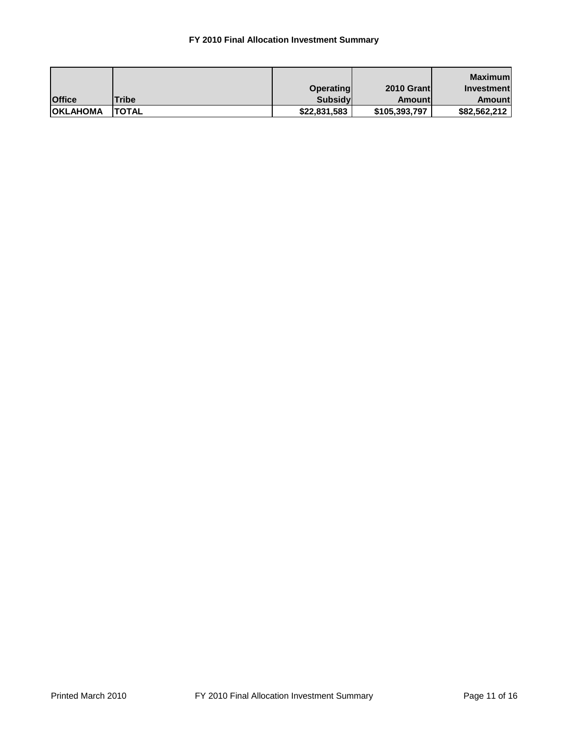## **FY 2010 Final Allocation Investment Summary**

|                 |              |                  |                   | Maximuml          |
|-----------------|--------------|------------------|-------------------|-------------------|
|                 |              | <b>Operating</b> | <b>2010 Grant</b> | <b>Investment</b> |
| <b>Office</b>   | Tribe        | <b>Subsidy</b>   | Amountl           | <b>Amount</b>     |
| <b>OKLAHOMA</b> | <b>TOTAL</b> | \$22,831,583     | \$105,393,797     | \$82,562,212      |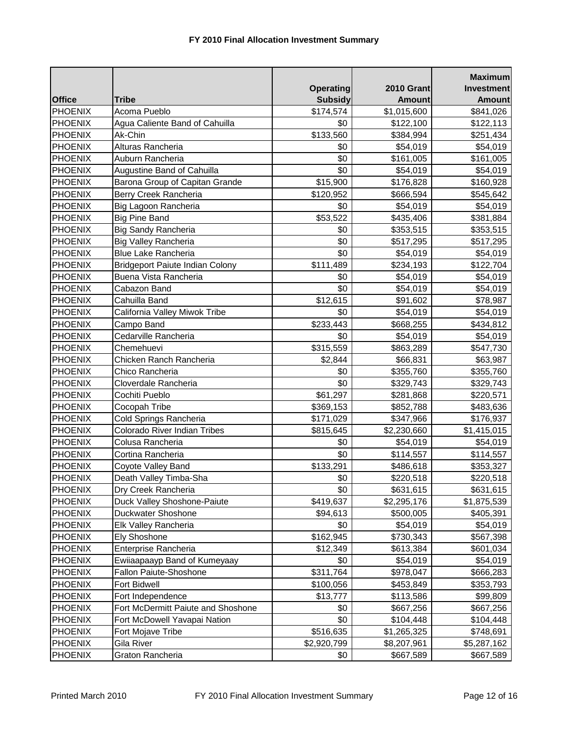|                |                                        |                  |                   | <b>Maximum</b>    |
|----------------|----------------------------------------|------------------|-------------------|-------------------|
|                |                                        | <b>Operating</b> | <b>2010 Grant</b> | <b>Investment</b> |
| <b>Office</b>  | <b>Tribe</b>                           | <b>Subsidy</b>   | <b>Amount</b>     | <b>Amount</b>     |
| <b>PHOENIX</b> | Acoma Pueblo                           | \$174,574        | \$1,015,600       | \$841,026         |
| <b>PHOENIX</b> | Agua Caliente Band of Cahuilla         | \$0              | \$122,100         | \$122,113         |
| <b>PHOENIX</b> | Ak-Chin                                | \$133,560        | \$384,994         | \$251,434         |
| <b>PHOENIX</b> | Alturas Rancheria                      | \$0              | \$54,019          | \$54,019          |
| <b>PHOENIX</b> | Auburn Rancheria                       | \$0              | \$161,005         | \$161,005         |
| <b>PHOENIX</b> | Augustine Band of Cahuilla             | \$0              | \$54,019          | \$54,019          |
| <b>PHOENIX</b> | Barona Group of Capitan Grande         | \$15,900         | \$176,828         | \$160,928         |
| <b>PHOENIX</b> | Berry Creek Rancheria                  | \$120,952        | \$666,594         | \$545,642         |
| <b>PHOENIX</b> | Big Lagoon Rancheria                   | \$0              | \$54,019          | \$54,019          |
| <b>PHOENIX</b> | <b>Big Pine Band</b>                   | \$53,522         | \$435,406         | \$381,884         |
| <b>PHOENIX</b> | <b>Big Sandy Rancheria</b>             | \$0              | \$353,515         | \$353,515         |
| <b>PHOENIX</b> | Big Valley Rancheria                   | \$0              | \$517,295         | \$517,295         |
| <b>PHOENIX</b> | <b>Blue Lake Rancheria</b>             | \$0              | \$54,019          | \$54,019          |
| <b>PHOENIX</b> | <b>Bridgeport Paiute Indian Colony</b> | \$111,489        | \$234,193         | \$122,704         |
| <b>PHOENIX</b> | Buena Vista Rancheria                  | \$0              | \$54,019          | \$54,019          |
| <b>PHOENIX</b> | Cabazon Band                           | \$0              | \$54,019          | \$54,019          |
| <b>PHOENIX</b> | Cahuilla Band                          | \$12,615         | \$91,602          | \$78,987          |
| <b>PHOENIX</b> | California Valley Miwok Tribe          | \$0              | \$54,019          | \$54,019          |
| <b>PHOENIX</b> | Campo Band                             | \$233,443        | \$668,255         | \$434,812         |
| PHOENIX        | Cedarville Rancheria                   | \$0              | \$54,019          | \$54,019          |
| <b>PHOENIX</b> | Chemehuevi                             | \$315,559        | \$863,289         | \$547,730         |
| <b>PHOENIX</b> | Chicken Ranch Rancheria                | \$2,844          | \$66,831          | \$63,987          |
| <b>PHOENIX</b> | Chico Rancheria                        | \$0              | \$355,760         | \$355,760         |
| <b>PHOENIX</b> | Cloverdale Rancheria                   | \$0              | \$329,743         | \$329,743         |
| <b>PHOENIX</b> | Cochiti Pueblo                         | \$61,297         | \$281,868         | \$220,571         |
| <b>PHOENIX</b> | Cocopah Tribe                          | \$369,153        | \$852,788         | \$483,636         |
| <b>PHOENIX</b> | Cold Springs Rancheria                 | \$171,029        | \$347,966         | \$176,937         |
| <b>PHOENIX</b> | Colorado River Indian Tribes           | \$815,645        | \$2,230,660       | \$1,415,015       |
| <b>PHOENIX</b> | Colusa Rancheria                       | \$0              | \$54,019          | \$54,019          |
| <b>PHOENIX</b> | Cortina Rancheria                      | \$0              | \$114,557         | \$114,557         |
| <b>PHOENIX</b> | Coyote Valley Band                     | \$133,291        | \$486,618         | \$353,327         |
| <b>PHOENIX</b> | Death Valley Timba-Sha                 | \$0              | \$220,518         | \$220,518         |
| <b>PHOENIX</b> | Dry Creek Rancheria                    | \$0              | \$631,615         | \$631,615         |
| <b>PHOENIX</b> | Duck Valley Shoshone-Paiute            | \$419,637        | \$2,295,176       | \$1,875,539       |
| <b>PHOENIX</b> | Duckwater Shoshone                     | \$94,613         | \$500,005         | \$405,391         |
| <b>PHOENIX</b> | Elk Valley Rancheria                   | \$0              | \$54,019          | \$54,019          |
| <b>PHOENIX</b> | <b>Ely Shoshone</b>                    | \$162,945        | \$730,343         | \$567,398         |
| <b>PHOENIX</b> | Enterprise Rancheria                   | \$12,349         | \$613,384         | \$601,034         |
| <b>PHOENIX</b> | Ewiiaapaayp Band of Kumeyaay           | \$0              | \$54,019          | \$54,019          |
| <b>PHOENIX</b> | Fallon Paiute-Shoshone                 | \$311,764        | \$978,047         | \$666,283         |
| <b>PHOENIX</b> | Fort Bidwell                           | \$100,056        | \$453,849         | \$353,793         |
| PHOENIX        | Fort Independence                      | \$13,777         | \$113,586         | \$99,809          |
| <b>PHOENIX</b> | Fort McDermitt Paiute and Shoshone     | \$0              | \$667,256         | \$667,256         |
| <b>PHOENIX</b> | Fort McDowell Yavapai Nation           | \$0              | \$104,448         | \$104,448         |
| <b>PHOENIX</b> | Fort Mojave Tribe                      | \$516,635        | \$1,265,325       | \$748,691         |
| <b>PHOENIX</b> | Gila River                             | \$2,920,799      | \$8,207,961       | \$5,287,162       |
| <b>PHOENIX</b> | Graton Rancheria                       | \$0              | \$667,589         | \$667,589         |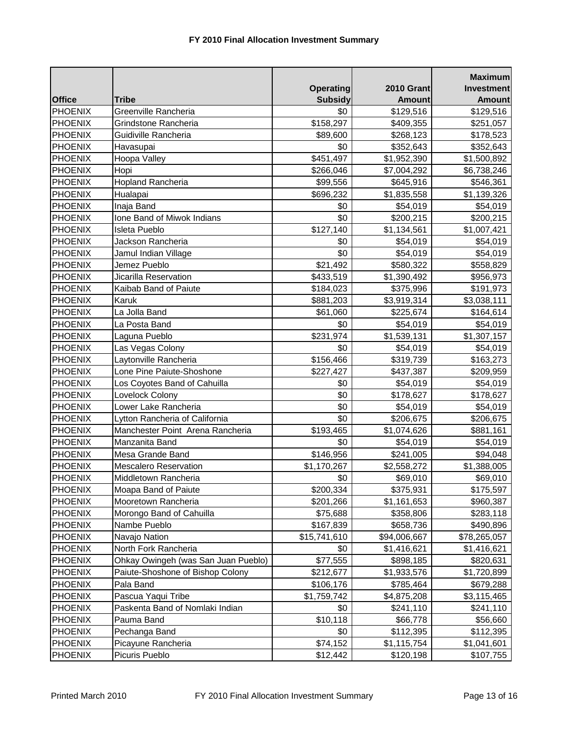|                |                                     |                  |                   | <b>Maximum</b>    |
|----------------|-------------------------------------|------------------|-------------------|-------------------|
|                |                                     | <b>Operating</b> | <b>2010 Grant</b> | <b>Investment</b> |
| <b>Office</b>  | <b>Tribe</b>                        | <b>Subsidy</b>   | <b>Amount</b>     | <b>Amount</b>     |
| <b>PHOENIX</b> | Greenville Rancheria                | \$0              | \$129,516         | \$129,516         |
| <b>PHOENIX</b> | Grindstone Rancheria                | \$158,297        | \$409,355         | \$251,057         |
| <b>PHOENIX</b> | Guidiville Rancheria                | \$89,600         | \$268,123         | \$178,523         |
| PHOENIX        | Havasupai                           | \$0              | \$352,643         | \$352,643         |
| <b>PHOENIX</b> | Hoopa Valley                        | \$451,497        | \$1,952,390       | \$1,500,892       |
| <b>PHOENIX</b> | Hopi                                | \$266,046        | \$7,004,292       | \$6,738,246       |
| <b>PHOENIX</b> | <b>Hopland Rancheria</b>            | \$99,556         | \$645,916         | \$546,361         |
| <b>PHOENIX</b> | Hualapai                            | \$696,232        | \$1,835,558       | \$1,139,326       |
| <b>PHOENIX</b> | Inaja Band                          | \$0              | \$54,019          | \$54,019          |
| <b>PHOENIX</b> | Ione Band of Miwok Indians          | \$0              | \$200,215         | \$200,215         |
| <b>PHOENIX</b> | Isleta Pueblo                       | \$127,140        | \$1,134,561       | \$1,007,421       |
| <b>PHOENIX</b> | Jackson Rancheria                   | \$0              | \$54,019          | \$54,019          |
| <b>PHOENIX</b> | Jamul Indian Village                | \$0              | \$54,019          | \$54,019          |
| <b>PHOENIX</b> | Jemez Pueblo                        | \$21,492         | \$580,322         | \$558,829         |
| <b>PHOENIX</b> | Jicarilla Reservation               | \$433,519        | \$1,390,492       | \$956,973         |
| <b>PHOENIX</b> | Kaibab Band of Paiute               | \$184,023        | \$375,996         | \$191,973         |
| <b>PHOENIX</b> | Karuk                               | \$881,203        | \$3,919,314       | \$3,038,111       |
| <b>PHOENIX</b> | La Jolla Band                       | \$61,060         | \$225,674         | \$164,614         |
| <b>PHOENIX</b> | La Posta Band                       | \$0              | \$54,019          | \$54,019          |
| <b>PHOENIX</b> | Laguna Pueblo                       | \$231,974        | \$1,539,131       | \$1,307,157       |
| <b>PHOENIX</b> | Las Vegas Colony                    | \$0              | \$54,019          | \$54,019          |
| <b>PHOENIX</b> | Laytonville Rancheria               | \$156,466        | \$319,739         | \$163,273         |
| <b>PHOENIX</b> | Lone Pine Paiute-Shoshone           | \$227,427        | \$437,387         | \$209,959         |
| <b>PHOENIX</b> | Los Coyotes Band of Cahuilla        | \$0              | \$54,019          | \$54,019          |
| <b>PHOENIX</b> | Lovelock Colony                     | \$0              | \$178,627         | \$178,627         |
| PHOENIX        | Lower Lake Rancheria                | \$0              | \$54,019          | \$54,019          |
| <b>PHOENIX</b> | Lytton Rancheria of California      | \$0              | \$206,675         | \$206,675         |
| <b>PHOENIX</b> | Manchester Point Arena Rancheria    | \$193,465        | \$1,074,626       | \$881,161         |
| <b>PHOENIX</b> | Manzanita Band                      | \$0              | \$54,019          | \$54,019          |
| <b>PHOENIX</b> | Mesa Grande Band                    | \$146,956        | \$241,005         | \$94,048          |
| <b>PHOENIX</b> | <b>Mescalero Reservation</b>        | \$1,170,267      | \$2,558,272       | \$1,388,005       |
| <b>PHOENIX</b> | Middletown Rancheria                | \$0              | \$69,010          | \$69,010          |
| <b>PHOENIX</b> | Moapa Band of Paiute                | \$200,334        | \$375,931         | \$175,597         |
| <b>PHOENIX</b> | Mooretown Rancheria                 | \$201,266        | \$1,161,653       | \$960,387         |
| <b>PHOENIX</b> | Morongo Band of Cahuilla            | \$75,688         | \$358,806         | \$283,118         |
| <b>PHOENIX</b> | Nambe Pueblo                        | \$167,839        | \$658,736         | \$490,896         |
| <b>PHOENIX</b> | Navajo Nation                       | \$15,741,610     | \$94,006,667      | \$78,265,057      |
| <b>PHOENIX</b> | North Fork Rancheria                | \$0              | \$1,416,621       | \$1,416,621       |
| <b>PHOENIX</b> | Ohkay Owingeh (was San Juan Pueblo) | \$77,555         | \$898,185         | \$820,631         |
| <b>PHOENIX</b> | Paiute-Shoshone of Bishop Colony    | \$212,677        | \$1,933,576       | \$1,720,899       |
| <b>PHOENIX</b> | Pala Band                           | \$106,176        | \$785,464         | \$679,288         |
| <b>PHOENIX</b> | Pascua Yaqui Tribe                  | \$1,759,742      | \$4,875,208       | \$3,115,465       |
| <b>PHOENIX</b> | Paskenta Band of Nomlaki Indian     | \$0              | \$241,110         | \$241,110         |
| <b>PHOENIX</b> | Pauma Band                          | \$10,118         | \$66,778          | \$56,660          |
| <b>PHOENIX</b> | Pechanga Band                       | \$0              | \$112,395         | \$112,395         |
| <b>PHOENIX</b> | Picayune Rancheria                  | \$74,152         | \$1,115,754       | \$1,041,601       |
| <b>PHOENIX</b> | Picuris Pueblo                      | \$12,442         | \$120,198         | \$107,755         |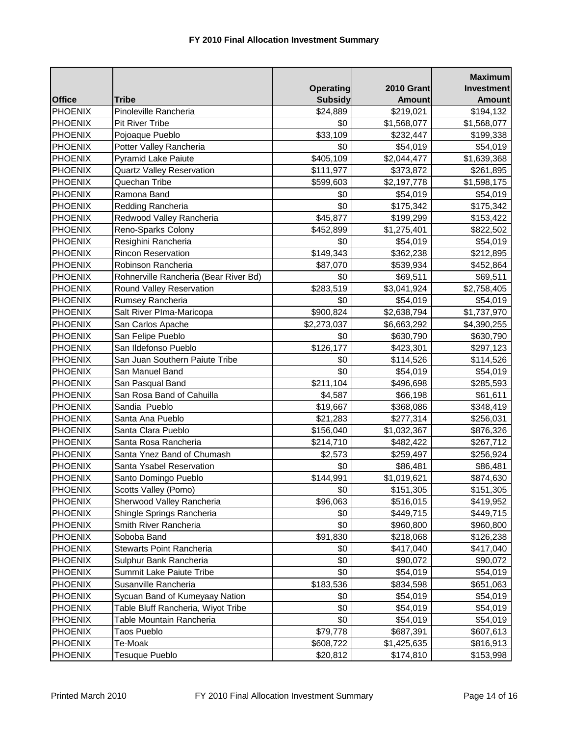|                |                                       |                  |                   | <b>Maximum</b>    |
|----------------|---------------------------------------|------------------|-------------------|-------------------|
|                |                                       | <b>Operating</b> | <b>2010 Grant</b> | <b>Investment</b> |
| <b>Office</b>  | <b>Tribe</b>                          | <b>Subsidy</b>   | <b>Amount</b>     | <b>Amount</b>     |
| <b>PHOENIX</b> | Pinoleville Rancheria                 | \$24,889         | \$219,021         | \$194,132         |
| <b>PHOENIX</b> | <b>Pit River Tribe</b>                | \$0              | \$1,568,077       | \$1,568,077       |
| <b>PHOENIX</b> | Pojoaque Pueblo                       | \$33,109         | \$232,447         | \$199,338         |
| <b>PHOENIX</b> | Potter Valley Rancheria               | \$0              | \$54,019          | \$54,019          |
| <b>PHOENIX</b> | <b>Pyramid Lake Paiute</b>            | \$405,109        | \$2,044,477       | \$1,639,368       |
| <b>PHOENIX</b> | <b>Quartz Valley Reservation</b>      | \$111,977        | \$373,872         | \$261,895         |
| <b>PHOENIX</b> | Quechan Tribe                         | \$599,603        | \$2,197,778       | \$1,598,175       |
| <b>PHOENIX</b> | Ramona Band                           | \$0              | \$54,019          | \$54,019          |
| <b>PHOENIX</b> | Redding Rancheria                     | \$0              | \$175,342         | \$175,342         |
| <b>PHOENIX</b> | Redwood Valley Rancheria              | \$45,877         | \$199,299         | \$153,422         |
| <b>PHOENIX</b> | Reno-Sparks Colony                    | \$452,899        | \$1,275,401       | \$822,502         |
| <b>PHOENIX</b> | Resighini Rancheria                   | \$0              | \$54,019          | \$54,019          |
| <b>PHOENIX</b> | <b>Rincon Reservation</b>             | \$149,343        | \$362,238         | \$212,895         |
| <b>PHOENIX</b> | Robinson Rancheria                    | \$87,070         | \$539,934         | \$452,864         |
| <b>PHOENIX</b> | Rohnerville Rancheria (Bear River Bd) | \$0              | \$69,511          | \$69,511          |
| <b>PHOENIX</b> | Round Valley Reservation              | \$283,519        | \$3,041,924       | \$2,758,405       |
| <b>PHOENIX</b> | Rumsey Rancheria                      | \$0              | \$54,019          | \$54,019          |
| <b>PHOENIX</b> | Salt River Plma-Maricopa              | \$900,824        | \$2,638,794       | \$1,737,970       |
| <b>PHOENIX</b> | San Carlos Apache                     | \$2,273,037      | \$6,663,292       | \$4,390,255       |
| <b>PHOENIX</b> | San Felipe Pueblo                     | \$0              | \$630,790         | \$630,790         |
| <b>PHOENIX</b> | San Ildefonso Pueblo                  | \$126,177        | \$423,301         | \$297,123         |
| <b>PHOENIX</b> | San Juan Southern Paiute Tribe        | \$0              | \$114,526         | \$114,526         |
| <b>PHOENIX</b> | San Manuel Band                       | \$0              | \$54,019          | \$54,019          |
| <b>PHOENIX</b> | San Pasqual Band                      | \$211,104        | \$496,698         | \$285,593         |
| <b>PHOENIX</b> | San Rosa Band of Cahuilla             | \$4,587          | \$66,198          | \$61,611          |
| <b>PHOENIX</b> | Sandia Pueblo                         | \$19,667         | \$368,086         | \$348,419         |
| <b>PHOENIX</b> | Santa Ana Pueblo                      | \$21,283         | \$277,314         | \$256,031         |
| <b>PHOENIX</b> | Santa Clara Pueblo                    | \$156,040        | \$1,032,367       | \$876,326         |
| <b>PHOENIX</b> | Santa Rosa Rancheria                  | \$214,710        | \$482,422         | \$267,712         |
| <b>PHOENIX</b> | Santa Ynez Band of Chumash            | \$2,573          | \$259,497         | \$256,924         |
| <b>PHOENIX</b> | Santa Ysabel Reservation              | \$0              | \$86,481          | \$86,481          |
| <b>PHOENIX</b> | Santo Domingo Pueblo                  | \$144,991        | \$1,019,621       | \$874,630         |
| <b>PHOENIX</b> | Scotts Valley (Pomo)                  | \$0              | \$151,305         | \$151,305         |
| <b>PHOENIX</b> | Sherwood Valley Rancheria             | \$96,063         | \$516,015         | \$419,952         |
| <b>PHOENIX</b> | Shingle Springs Rancheria             | \$0              | \$449,715         | \$449,715         |
| <b>PHOENIX</b> | Smith River Rancheria                 | \$0              | \$960,800         | \$960,800         |
| <b>PHOENIX</b> | Soboba Band                           | \$91,830         | \$218,068         | \$126,238         |
| <b>PHOENIX</b> | <b>Stewarts Point Rancheria</b>       | \$0              | \$417,040         | \$417,040         |
| <b>PHOENIX</b> | Sulphur Bank Rancheria                | \$0              | \$90,072          | \$90,072          |
| <b>PHOENIX</b> | Summit Lake Paiute Tribe              | \$0              | \$54,019          | \$54,019          |
| <b>PHOENIX</b> | Susanville Rancheria                  | \$183,536        | \$834,598         | \$651,063         |
| <b>PHOENIX</b> | Sycuan Band of Kumeyaay Nation        | \$0              | \$54,019          | \$54,019          |
| <b>PHOENIX</b> | Table Bluff Rancheria, Wiyot Tribe    | \$0              | \$54,019          | \$54,019          |
| <b>PHOENIX</b> | Table Mountain Rancheria              | \$0              | \$54,019          | \$54,019          |
| <b>PHOENIX</b> | Taos Pueblo                           | \$79,778         | \$687,391         | \$607,613         |
| <b>PHOENIX</b> | Te-Moak                               | \$608,722        | \$1,425,635       | \$816,913         |
| <b>PHOENIX</b> | Tesuque Pueblo                        | \$20,812         | \$174,810         | \$153,998         |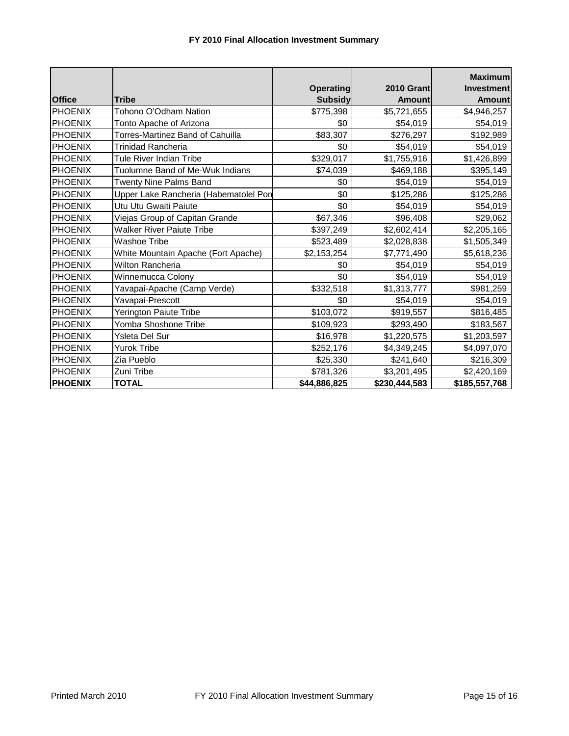|                |                                       |                  |                   | <b>Maximum</b>    |
|----------------|---------------------------------------|------------------|-------------------|-------------------|
|                |                                       | <b>Operating</b> | <b>2010 Grant</b> | <b>Investment</b> |
| <b>Office</b>  | <b>Tribe</b>                          | <b>Subsidy</b>   | <b>Amount</b>     | <b>Amount</b>     |
| <b>PHOENIX</b> | Tohono O'Odham Nation                 | \$775,398        | \$5,721,655       | \$4,946,257       |
| <b>PHOENIX</b> | Tonto Apache of Arizona               | \$0              | \$54,019          | \$54,019          |
| <b>PHOENIX</b> | Torres-Martinez Band of Cahuilla      | \$83,307         | \$276,297         | \$192,989         |
| <b>PHOENIX</b> | Trinidad Rancheria                    | \$0              | \$54,019          | \$54,019          |
| <b>PHOENIX</b> | Tule River Indian Tribe               | \$329,017        | \$1,755,916       | \$1,426,899       |
| <b>PHOENIX</b> | Tuolumne Band of Me-Wuk Indians       | \$74,039         | \$469,188         | \$395,149         |
| <b>PHOENIX</b> | <b>Twenty Nine Palms Band</b>         | \$0              | \$54,019          | \$54,019          |
| <b>PHOENIX</b> | Upper Lake Rancheria (Habematolel Pon | \$0              | \$125,286         | \$125,286         |
| <b>PHOENIX</b> | Utu Utu Gwaiti Paiute                 | \$0              | \$54,019          | \$54,019          |
| <b>PHOENIX</b> | Viejas Group of Capitan Grande        | \$67,346         | \$96,408          | \$29,062          |
| <b>PHOENIX</b> | <b>Walker River Paiute Tribe</b>      | \$397,249        | \$2,602,414       | \$2,205,165       |
| <b>PHOENIX</b> | <b>Washoe Tribe</b>                   | \$523,489        | \$2,028,838       | \$1,505,349       |
| <b>PHOENIX</b> | White Mountain Apache (Fort Apache)   | \$2,153,254      | \$7,771,490       | \$5,618,236       |
| <b>PHOENIX</b> | <b>Wilton Rancheria</b>               | \$0              | \$54,019          | \$54,019          |
| <b>PHOENIX</b> | Winnemucca Colony                     | \$0              | \$54,019          | \$54,019          |
| <b>PHOENIX</b> | Yavapai-Apache (Camp Verde)           | \$332,518        | \$1,313,777       | \$981,259         |
| <b>PHOENIX</b> | Yavapai-Prescott                      | \$0              | \$54,019          | \$54,019          |
| <b>PHOENIX</b> | Yerington Paiute Tribe                | \$103,072        | \$919,557         | \$816,485         |
| <b>PHOENIX</b> | Yomba Shoshone Tribe                  | \$109,923        | \$293,490         | \$183,567         |
| <b>PHOENIX</b> | <b>Ysleta Del Sur</b>                 | \$16,978         | \$1,220,575       | \$1,203,597       |
| <b>PHOENIX</b> | <b>Yurok Tribe</b>                    | \$252,176        | \$4,349,245       | \$4,097,070       |
| <b>PHOENIX</b> | Zia Pueblo                            | \$25,330         | \$241,640         | \$216,309         |
| <b>PHOENIX</b> | Zuni Tribe                            | \$781,326        | \$3,201,495       | \$2,420,169       |
| <b>PHOENIX</b> | <b>TOTAL</b>                          | \$44,886,825     | \$230,444,583     | \$185,557,768     |